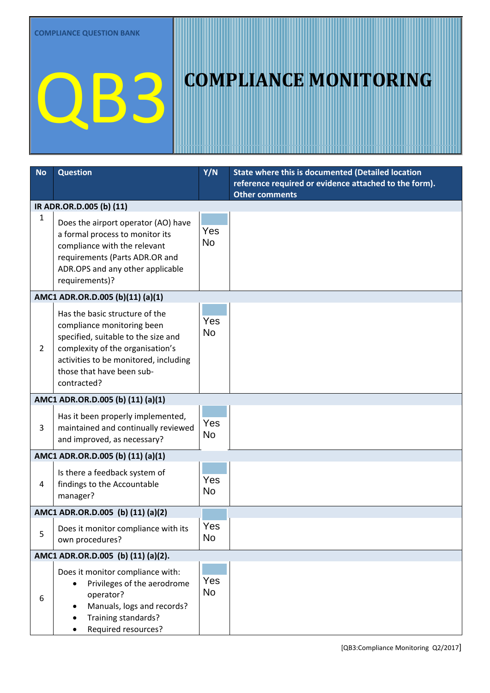| <b>No</b>      | <b>Question</b>                                                                                                                                                                                                              | Y/N              | State where this is documented (Detailed location                              |
|----------------|------------------------------------------------------------------------------------------------------------------------------------------------------------------------------------------------------------------------------|------------------|--------------------------------------------------------------------------------|
|                |                                                                                                                                                                                                                              |                  | reference required or evidence attached to the form).<br><b>Other comments</b> |
|                | IR ADR.OR.D.005 (b) (11)                                                                                                                                                                                                     |                  |                                                                                |
| 1              | Does the airport operator (AO) have<br>a formal process to monitor its<br>compliance with the relevant<br>requirements (Parts ADR.OR and<br>ADR.OPS and any other applicable<br>requirements)?                               | Yes<br><b>No</b> |                                                                                |
|                | AMC1 ADR.OR.D.005 (b)(11) (a)(1)                                                                                                                                                                                             |                  |                                                                                |
| $\overline{2}$ | Has the basic structure of the<br>compliance monitoring been<br>specified, suitable to the size and<br>complexity of the organisation's<br>activities to be monitored, including<br>those that have been sub-<br>contracted? | Yes<br>No        |                                                                                |
|                | AMC1 ADR.OR.D.005 (b) (11) (a)(1)                                                                                                                                                                                            |                  |                                                                                |
| 3              | Has it been properly implemented,<br>maintained and continually reviewed<br>and improved, as necessary?                                                                                                                      | Yes<br><b>No</b> |                                                                                |
|                | AMC1 ADR.OR.D.005 (b) (11) (a)(1)                                                                                                                                                                                            |                  |                                                                                |
| 4              | Is there a feedback system of<br>findings to the Accountable<br>manager?                                                                                                                                                     | Yes<br><b>No</b> |                                                                                |
|                | AMC1 ADR.OR.D.005 (b) (11) (a)(2)                                                                                                                                                                                            |                  |                                                                                |
| 5              | Does it monitor compliance with its<br>own procedures?                                                                                                                                                                       | Yes<br><b>No</b> |                                                                                |
|                | AMC1 ADR.OR.D.005 (b) (11) (a)(2).                                                                                                                                                                                           |                  |                                                                                |
| 6              | Does it monitor compliance with:<br>Privileges of the aerodrome<br>$\bullet$<br>operator?<br>Manuals, logs and records?<br>$\bullet$<br>Training standards?<br>Required resources?                                           | Yes<br><b>No</b> |                                                                                |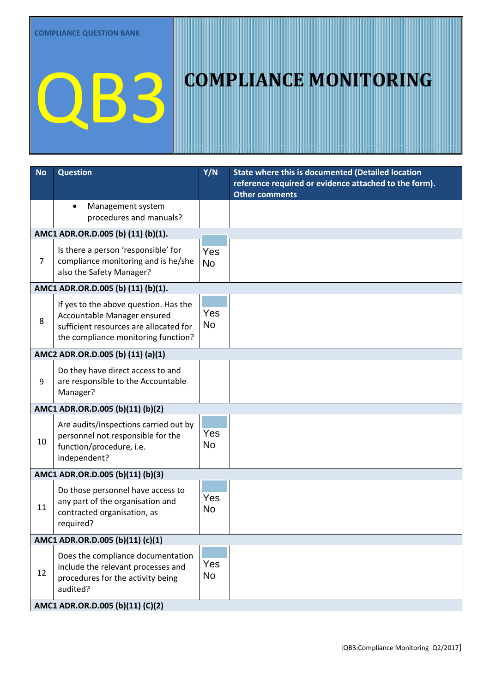| <b>No</b>                        | <b>Question</b>                                                                                                                                       | Y/N              | State where this is documented (Detailed location     |
|----------------------------------|-------------------------------------------------------------------------------------------------------------------------------------------------------|------------------|-------------------------------------------------------|
|                                  |                                                                                                                                                       |                  | reference required or evidence attached to the form). |
|                                  | Management system<br>$\bullet$                                                                                                                        |                  | <b>Other comments</b>                                 |
|                                  | procedures and manuals?                                                                                                                               |                  |                                                       |
|                                  | AMC1 ADR.OR.D.005 (b) (11) (b)(1).                                                                                                                    |                  |                                                       |
| $\overline{7}$                   | Is there a person 'responsible' for<br>compliance monitoring and is he/she<br>also the Safety Manager?                                                | Yes<br><b>No</b> |                                                       |
|                                  | AMC1 ADR.OR.D.005 (b) (11) (b)(1).                                                                                                                    |                  |                                                       |
| 8                                | If yes to the above question. Has the<br>Accountable Manager ensured<br>sufficient resources are allocated for<br>the compliance monitoring function? | Yes<br><b>No</b> |                                                       |
|                                  | AMC2 ADR.OR.D.005 (b) (11) (a)(1)                                                                                                                     |                  |                                                       |
| 9                                | Do they have direct access to and<br>are responsible to the Accountable<br>Manager?                                                                   | Yes<br><b>No</b> |                                                       |
|                                  | AMC1 ADR.OR.D.005 (b)(11) (b)(2)                                                                                                                      |                  |                                                       |
| 10                               | Are audits/inspections carried out by<br>personnel not responsible for the<br>function/procedure, i.e.<br>independent?                                | Yes<br><b>No</b> |                                                       |
|                                  | AMC1 ADR.OR.D.005 (b)(11) (b)(3)                                                                                                                      |                  |                                                       |
| 11                               | Do those personnel have access to<br>any part of the organisation and<br>contracted organisation, as<br>required?                                     | Yes<br><b>No</b> |                                                       |
|                                  | AMC1 ADR.OR.D.005 (b)(11) (c)(1)                                                                                                                      |                  |                                                       |
| 12                               | Does the compliance documentation<br>include the relevant processes and<br>procedures for the activity being<br>audited?                              | Yes<br><b>No</b> |                                                       |
| AMC1 ADR.OR.D.005 (b)(11) (C)(2) |                                                                                                                                                       |                  |                                                       |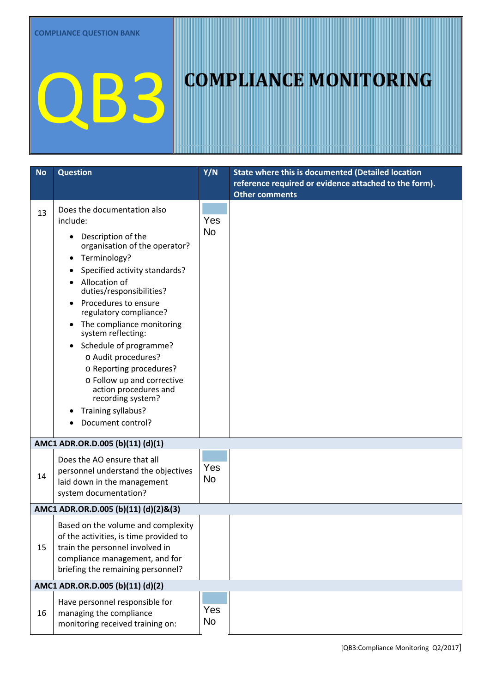| <b>No</b> | <b>Question</b>                                                                                                                                                                                                                                                                                                                                                                                                                                                                                                          | Y/N              | State where this is documented (Detailed location     |
|-----------|--------------------------------------------------------------------------------------------------------------------------------------------------------------------------------------------------------------------------------------------------------------------------------------------------------------------------------------------------------------------------------------------------------------------------------------------------------------------------------------------------------------------------|------------------|-------------------------------------------------------|
|           |                                                                                                                                                                                                                                                                                                                                                                                                                                                                                                                          |                  | reference required or evidence attached to the form). |
|           |                                                                                                                                                                                                                                                                                                                                                                                                                                                                                                                          |                  | <b>Other comments</b>                                 |
| 13        | Does the documentation also<br>include:<br>Description of the<br>$\bullet$<br>organisation of the operator?<br>Terminology?<br>Specified activity standards?<br>Allocation of<br>duties/responsibilities?<br>Procedures to ensure<br>$\bullet$<br>regulatory compliance?<br>• The compliance monitoring<br>system reflecting:<br>Schedule of programme?<br>$\bullet$<br>o Audit procedures?<br>o Reporting procedures?<br>o Follow up and corrective<br>action procedures and<br>recording system?<br>Training syllabus? | Yes<br><b>No</b> |                                                       |
|           | Document control?                                                                                                                                                                                                                                                                                                                                                                                                                                                                                                        |                  |                                                       |
|           | AMC1 ADR.OR.D.005 (b)(11) (d)(1)                                                                                                                                                                                                                                                                                                                                                                                                                                                                                         |                  |                                                       |
| 14        | Does the AO ensure that all<br>personnel understand the objectives<br>laid down in the management<br>system documentation?                                                                                                                                                                                                                                                                                                                                                                                               | Yes<br><b>No</b> |                                                       |
|           | AMC1 ADR.OR.D.005 (b)(11) (d)(2)&(3)                                                                                                                                                                                                                                                                                                                                                                                                                                                                                     |                  |                                                       |
| 15        | Based on the volume and complexity<br>of the activities, is time provided to<br>train the personnel involved in<br>compliance management, and for<br>briefing the remaining personnel?                                                                                                                                                                                                                                                                                                                                   | Yes<br>No        |                                                       |
|           | AMC1 ADR.OR.D.005 (b)(11) (d)(2)                                                                                                                                                                                                                                                                                                                                                                                                                                                                                         |                  |                                                       |
| 16        | Have personnel responsible for<br>managing the compliance<br>monitoring received training on:                                                                                                                                                                                                                                                                                                                                                                                                                            | Yes<br>No        |                                                       |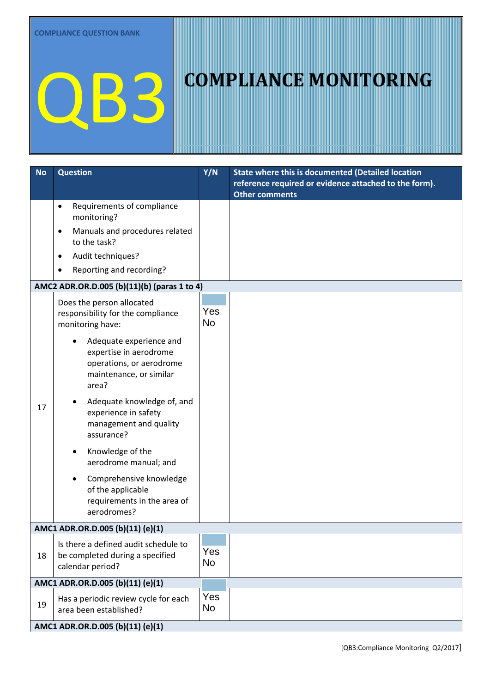| <b>No</b> | <b>Question</b>                                                                                                   | Y/N                     | <b>State where this is documented (Detailed location</b> |  |
|-----------|-------------------------------------------------------------------------------------------------------------------|-------------------------|----------------------------------------------------------|--|
|           |                                                                                                                   |                         | reference required or evidence attached to the form).    |  |
|           | Requirements of compliance<br>$\bullet$                                                                           |                         | <b>Other comments</b>                                    |  |
|           | monitoring?                                                                                                       |                         |                                                          |  |
|           | Manuals and procedures related<br>$\bullet$<br>to the task?                                                       |                         |                                                          |  |
|           | Audit techniques?<br>$\bullet$                                                                                    |                         |                                                          |  |
|           | Reporting and recording?<br>$\bullet$                                                                             |                         |                                                          |  |
|           | AMC2 ADR.OR.D.005 (b)(11)(b) (paras 1 to 4)                                                                       |                         |                                                          |  |
|           | Does the person allocated<br>responsibility for the compliance<br>monitoring have:                                | <b>Yes</b><br><b>No</b> |                                                          |  |
|           | Adequate experience and<br>expertise in aerodrome<br>operations, or aerodrome<br>maintenance, or similar<br>area? |                         |                                                          |  |
| 17        | Adequate knowledge of, and<br>experience in safety<br>management and quality<br>assurance?                        |                         |                                                          |  |
|           | Knowledge of the<br>aerodrome manual; and                                                                         |                         |                                                          |  |
|           | Comprehensive knowledge<br>of the applicable<br>requirements in the area of<br>aerodromes?                        |                         |                                                          |  |
|           | AMC1 ADR.OR.D.005 (b)(11) (e)(1)                                                                                  |                         |                                                          |  |
| 18        | Is there a defined audit schedule to<br>be completed during a specified<br>calendar period?                       | Yes<br><b>No</b>        |                                                          |  |
|           | AMC1 ADR.OR.D.005 (b)(11) (e)(1)                                                                                  |                         |                                                          |  |
| 19        | Has a periodic review cycle for each<br>area been established?                                                    | Yes<br><b>No</b>        |                                                          |  |
|           | AMC1 ADR.OR.D.005 (b)(11) (e)(1)                                                                                  |                         |                                                          |  |